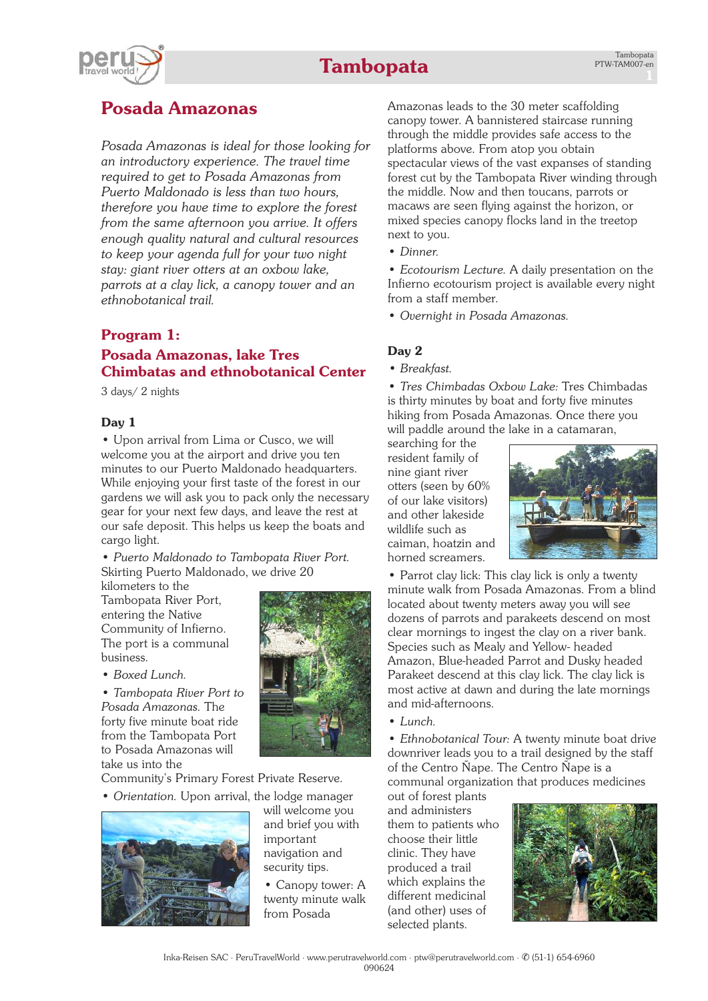

## **Posada Amazonas**

*Posada Amazonas is ideal for those looking for an introductory experience. The travel time required to get to Posada Amazonas from Puerto Maldonado is less than two hours, therefore you have time to explore the forest from the same afternoon you arrive. It offers enough quality natural and cultural resources to keep your agenda full for your two night stay: giant river otters at an oxbow lake, parrots at a clay lick, a canopy tower and an ethnobotanical trail.*

## **Program 1: Posada Amazonas, lake Tres Chimbatas and ethnobotanical Center**

3 days/ 2 nights

## **Day 1**

• Upon arrival from Lima or Cusco, we will welcome you at the airport and drive you ten minutes to our Puerto Maldonado headquarters. While enjoying your first taste of the forest in our gardens we will ask you to pack only the necessary gear for your next few days, and leave the rest at our safe deposit. This helps us keep the boats and cargo light.

• *Puerto Maldonado to Tambopata River Port.* Skirting Puerto Maldonado, we drive 20

kilometers to the Tambopata River Port, entering the Native Community of Infierno. The port is a communal business.

• *Boxed Lunch.*

• *Tambopata River Port to Posada Amazonas.* The forty five minute boat ride from the Tambopata Port to Posada Amazonas will take us into the

Community's Primary Forest Private Reserve.

• *Orientation.* Upon arrival, the lodge manager



will welcome you and brief you with important navigation and security tips.

• Canopy tower: A twenty minute walk from Posada

Amazonas leads to the 30 meter scaffolding canopy tower. A bannistered staircase running through the middle provides safe access to the platforms above. From atop you obtain spectacular views of the vast expanses of standing forest cut by the Tambopata River winding through the middle. Now and then toucans, parrots or macaws are seen flying against the horizon, or mixed species canopy flocks land in the treetop next to you.

• *Dinner.*

• *Ecotourism Lecture.* A daily presentation on the Infierno ecotourism project is available every night from a staff member.

• *Overnight in Posada Amazonas.*

## **Day 2**

*• Breakfast.*

• *Tres Chimbadas Oxbow Lake:* Tres Chimbadas is thirty minutes by boat and forty five minutes hiking from Posada Amazonas. Once there you will paddle around the lake in a catamaran,

searching for the resident family of nine giant river otters (seen by 60% of our lake visitors) and other lakeside wildlife such as caiman, hoatzin and horned screamers.



• Parrot clay lick: This clay lick is only a twenty minute walk from Posada Amazonas. From a blind located about twenty meters away you will see dozens of parrots and parakeets descend on most clear mornings to ingest the clay on a river bank. Species such as Mealy and Yellow- headed Amazon, Blue-headed Parrot and Dusky headed Parakeet descend at this clay lick. The clay lick is most active at dawn and during the late mornings and mid-afternoons.

• *Lunch.*

• *Ethnobotanical Tour:* A twenty minute boat drive downriver leads you to a trail designed by the staff of the Centro Ñape. The Centro Ñape is a communal organization that produces medicines

out of forest plants and administers them to patients who choose their little clinic. They have produced a trail which explains the different medicinal (and other) uses of selected plants.



Inka-Reisen SAC · PeruTravelWorld · [www.perutravelworld.com](http://www.perutravelworld.com) · ptw@perutravelworld.com · ✆ (51-1) 654-6960 090624